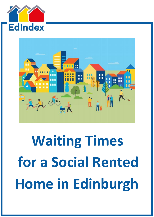



# **Waiting Times for a Social Rented Home in Edinburgh**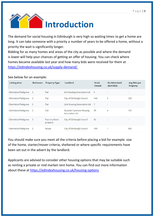

The demand for social housing in Edinburgh is very high so waiting times to get a home are long. It can take someone with a priority a number of years to be offered a home, without a priority the wait is significantly longer.

Bidding for as many homes and areas of the city as possible and where the demand is lower will help your chances of getting an offer of housing. You can check where homes became available last year and how many bids were received for them at <https://edindexhousing.co.uk/supply-demand/>

#### See below for an example:

| <b>Letting Area</b>  | <b>Bedrooms</b> | <b>Property Type</b>        | Landlord                                          | <b>Stock</b><br>Owned | <b>No Advertised</b><br>2021/2022 | Avg Bids per<br><b>Property</b> |
|----------------------|-----------------|-----------------------------|---------------------------------------------------|-----------------------|-----------------------------------|---------------------------------|
| Clermiston/Parkgrove | 2               | Flat                        | Ark Housing Association Ltd                       | 6                     | $\sim$                            | ۰                               |
| Clermiston/Parkgrove | 2               | Flat                        | City of Edinburgh Council                         | 144                   | 5                                 | 283                             |
| Clermiston/Parkgrove | 2               | Flat                        | Link Housing Association Ltd                      | $\overline{7}$        | ۰                                 | ٠                               |
| Clermiston/Parkgrove | 2               | Flat                        | Dunedin Canmore Housing<br><b>Association Ltd</b> | 49                    | 4                                 | 187                             |
| Clermiston/Parkgrove | -2              | Four in a block<br>property | City of Edinburgh Council                         | 42                    | $\sim$                            | $\sim$                          |
| Clermiston/Parkgrove | 2               | House                       | City of Edinburgh Council                         | 109                   |                                   | 892                             |

You should make sure you meet all the criteria before placing a bid for example: size of the home, starter/mover criteria, sheltered or where specific requirements have been set out in the advert by the landlord.

Applicants are advised to consider other housing options that may be suitable such as renting a private or mid market rent home. You can find out more information about these at<https://edindexhousing.co.uk/housing-options>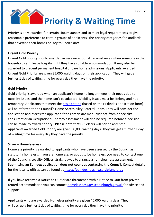## **Priority & Waiting Time**

Priority is only awarded for certain circumstances and to meet legal requirements to give reasonable preference to certain groups of applicants. The priority categories for landlords that advertise their homes on Key to Choice are:

#### **Urgent Gold Priority**

Urgent Gold priority is only awarded in very exceptional circumstances when someone in the household can't leave hospital until they have suitable accommodation. It may also be awarded to prevent permanent hospital or care home admissions. Applicants awarded Urgent Gold Priority are given 85,000 waiting days on their application. They will get a further 1 day of waiting time for every day they have the priority.

#### **Gold Priority**

Gold priority is awarded when an applicant's home no longer meets their needs due to mobility issues, and the home can't be adapted. Mobility issues must be lifelong and not temporary. Applicants that meet the [basic criteria](https://edindex-beta.edina.ac.uk/media/Gold_Priority_Criteria.pdf) (based on their EdIndex application form) will be referred to the Council's Home Accessibility Referral Team. They will consider the application and assess the applicant if the criteria are met. Evidence from a specialist consultant or an Occupational Therapy assessment will also be required before a decision can be made to award priority**. Please note that** GP letters will **not** be accepted. Applicants awarded Gold Priority are given 80,000 waiting days. They will get a further 1 day of waiting time for every day they have the priority.

#### **Silver – Homelessness**

Homeless priority is awarded to applicants who have been assessed by the Council as statutorily homeless. If you are homeless, or about to be homeless you need to contact one of the Council's Locality Offices straight away to arrange a homelessness assessment. **Submitting an EdIndex application does not count as contacting the Council.** Contact details for the locality offices can be found at<https://edindexhousing.co.uk/landlords>

If you have received a Notice to Quit or are threatened with a Notice to Quit from private rented accommodation you can contact [homelessness.prs@edinburgh.gov.uk f](mailto:homelessness.prs@edinburgh.gov.uk)or advice and support.

Applicants who are awarded Homeless priority are given 40,000 waiting days. They will accrue a further 1 day of waiting time for every day they have the priority.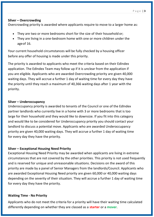#### **Silver – Overcrowding**

Overcrowding priority is awarded where applicants require to move to a larger home as:

- They are two or more bedrooms short for the size of their household or;
- They are living in a one-bedroom home with one or more children under the ageof 16.

Your current household circumstances will be fully checked by a housing officer before any offer of housing is made under this priority.

The priority is awarded to applicants who meet the criteria based on their EdIndex application. The EdIndex Team may follow up if it is unclear from the application if you are eligible. Applicants who are awarded Overcrowding priority are given 40,000 waiting days. They will accrue a further 1 day of waiting time for every day they have the priority until they reach a maximum of 40,366 waiting days after 1 year with the priority.

#### **Silver – Underoccupancy**

Underoccupancy priority is awarded to tenants of the Council or one of the EdIndex partner landlords who currently live in a home with 3 or more bedrooms that is too large for their household and they would like to downsize. If you fit into this category and would like to be considered for Underoccupancy priority you should contact your landlord to discuss a potential move. Applicants who are awarded Underoccupancy priority are given 40,000 waiting days. They will accrue a further 1 day of waiting time for every day they have the priority.

#### **Silver – Exceptional Housing Need Priority**

Exceptional Housing Need Priority may be awarded when applicants are living in extreme circumstances that are not covered by the other priorities. This priority is not used frequently and is reserved for unique and unreasonable situations. Decisions on the award of this priority are made by a panel of Senior Managers from the landlords/Council. Applicants who are awarded Exceptional Housing Need priority are given 60,000 or 40,000 waiting days depending on the severity of their situation. They will accrue a further 1 day of waiting time for every day they have the priority.

#### **Waiting Time - No Priority**

Applicants who do not meet the criteria for a priority will have their waiting time calculated differently depending on whether they are classed as a **starter** or a **mover**.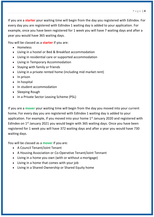If you are a **starter** your waiting time will begin from the day you registered with EdIndex. For every day you are registered with EdIndex 1 waiting day is added to your application. For example, once you have been registered for 1 week you will have 7 waiting days and after a year you would have 365 waiting days.

You will be classed as a **starter** if you are:

- Homeless
- Living in a hostel or Bed & Breakfast accommodation
- Living in residential care or supported accommodation
- Living in Temporary Accommodation
- Staying with family or friends
- Living in a private rented home (including mid market rent)
- In prison
- In hospital
- In student accommodation
- Sleeping Rough
- In a Private Sector Leasing Scheme (PSL)

If you are a **mover** your waiting time will begin from the day you moved into your current home**.** For every day you are registered with EdIndex 1 waiting day is added to your application. For example, if you moved into your home  $1<sup>st</sup>$  January 2020 and registered with EdIndex on 1<sup>st</sup> January 2021 you would begin with 365 waiting days. Once you have been registered for 1 week you will have 372 waiting days and after a year you would have 730 waiting days.

You will be classed as a **mover** if you are:

- A Council Tenant/Joint Tenant
- A Housing Association or Co-Operative Tenant/Joint Tennant
- Living in a home you own (with or without a mortgage)
- Living in a home that comes with your job
- Living in a Shared Ownership or Shared Equity home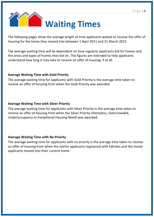

The following pages show the average length of time applicants waited to receive the offer of housing for the home they moved into between 1 April 2021 and 31 March 2022.

The average waiting time will be dependent on how regularly applicants bid for homes and the areas and types of homes they bid on. The figures are intended to help applicants understand how long it may take to receive an offer of housing, if at all.

#### **Average Waiting Time with Gold Priority**

The average waiting time for applicants with Gold Priority is the average time taken to receive an offer of housing from when the Gold Priority was awarded.

#### **Average Waiting Time with Silver Priority**

The average waiting time for applicants with Silver Priority is the average time taken to receive an offer of housing from when the Silver Priority (Homeless, Overcrowded, Underoccupancy or Exceptional Housing Need) was awarded.

#### **Average Waiting Time with No Priority**

The average waiting time for applicants with no priority is the average time taken to receive an offer of housing from when the starter applicants registered with EdIndex and the mover applicants moved into their current home.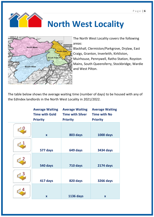

### **North West Locality**



The North West Locality covers the following areas:

Blackhall, Clermiston/Parkgrove, Drylaw, East Craigs, Granton, Inverleith, Kirkliston, Muirhouse, Pennywell, Ratho Station, Royston Mains, South Queensferry, Stockbridge, Wardie and West Pilton.

The table below shows the average waiting time (number of days) to be housed with any of the EdIndex landlords in the North West Locality in 2021/2022.

| <b>Average Waiting</b><br><b>Time with Gold</b><br><b>Priority</b> | <b>Average Waiting</b><br><b>Time with Silver</b><br><b>Priority</b> | <b>Average Waiting</b><br><b>Time with No</b><br><b>Priority</b> |
|--------------------------------------------------------------------|----------------------------------------------------------------------|------------------------------------------------------------------|
| $\mathbf{x}$                                                       | 803 days                                                             | <b>1000 days</b>                                                 |
| 577 days                                                           | 649 days                                                             | <b>3434 days</b>                                                 |
| 540 days                                                           | 710 days                                                             | <b>2174 days</b>                                                 |
| 417 days                                                           | 820 days                                                             | <b>3266 days</b>                                                 |
| $\mathbf x$                                                        | <b>1136 days</b>                                                     | $\mathbf x$                                                      |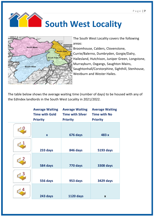



The South West Locality covers the following areas:

Broomhouse, Calders, Clovenstone, Currie/Balerno, Dumbryden, Gorgie/Dalry, Hailesland, Hutchison, Juniper Green, Longstone, Murrayburn, Oxgangs, Saughton Mains, Saughtonhall/Corstorphine, Sighthill, Stenhouse, Westburn and Wester Hailes.

The table below shows the average waiting time (number of days) to be housed with any of the EdIndex landlords in the South West Locality in 2021/2022.

| <b>Average Waiting</b><br><b>Time with Gold</b><br><b>Priority</b> | <b>Average Waiting</b><br><b>Time with Silver</b><br><b>Priority</b> | <b>Average Waiting</b><br><b>Time with No</b><br><b>Priority</b> |
|--------------------------------------------------------------------|----------------------------------------------------------------------|------------------------------------------------------------------|
| $\mathbf{x}$                                                       | 676 days                                                             | 483 x                                                            |
| 233 days                                                           | 846 days                                                             | <b>5193 days</b>                                                 |
| 584 days                                                           | 770 days                                                             | <b>3308 days</b>                                                 |
| 556 days                                                           | 953 days                                                             | <b>3429 days</b>                                                 |
| 243 days                                                           | <b>1120 days</b>                                                     | $\mathbf{x}$                                                     |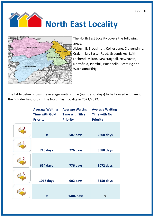



The North East Locality covers the following areas:

Abbeyhill, Broughton, Coillesdene, Craigentinny, Craigmillar, Easter Road, Greendykes, Leith, Lochend, Milton, Newcraighall, Newhaven, Northfield, Piershill, Portobello, Restalrig and Warriston/Pilrig

The table below shows the average waiting time (number of days) to be housed with any of the EdIndex landlords in the North East Locality in 2021/2022.

| <b>Average Waiting</b><br><b>Time with Gold</b><br><b>Priority</b> | <b>Average Waiting</b><br><b>Time with Silver</b><br><b>Priority</b> | <b>Average Waiting</b><br><b>Time with No</b><br><b>Priority</b> |
|--------------------------------------------------------------------|----------------------------------------------------------------------|------------------------------------------------------------------|
| $\mathbf{x}$                                                       | 507 days                                                             | <b>2608 days</b>                                                 |
| 710 days                                                           | 726 days                                                             | 3588 days                                                        |
| 694 days                                                           | 776 days                                                             | <b>3072 days</b>                                                 |
| <b>1017 days</b>                                                   | 902 days                                                             | <b>3150 days</b>                                                 |
| $\mathbf x$                                                        | <b>1404 days</b>                                                     | $\mathbf{x}$                                                     |